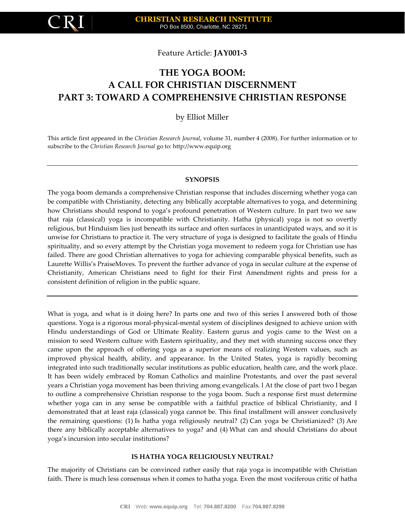

Feature Article: **JAY001-3**

# **THE YOGA BOOM: A CALL FOR CHRISTIAN DISCERNMENT PART 3: TOWARD A COMPREHENSIVE CHRISTIAN RESPONSE**

by Elliot Miller

This article first appeared in the *Christian Research Journal*, volume 31, number 4 (2008). For further information or to subscribe to the *Christian Research Journal* go to: [http://www.equip.org](http://www.equip.org/)

## **SYNOPSIS**

The yoga boom demands a comprehensive Christian response that includes discerning whether yoga can be compatible with Christianity, detecting any biblically acceptable alternatives to yoga, and determining how Christians should respond to yoga's profound penetration of Western culture. In part two we saw that raja (classical) yoga is incompatible with Christianity. Hatha (physical) yoga is not so overtly religious, but Hinduism lies just beneath its surface and often surfaces in unanticipated ways, and so it is unwise for Christians to practice it. The very structure of yoga is designed to facilitate the goals of Hindu spirituality, and so every attempt by the Christian yoga movement to redeem yoga for Christian use has failed. There are good Christian alternatives to yoga for achieving comparable physical benefits, such as Laurette Willis's PraiseMoves. To prevent the further advance of yoga in secular culture at the expense of Christianity, American Christians need to fight for their First Amendment rights and press for a consistent definition of religion in the public square.

What is yoga, and what is it doing here? In parts one and two of this series I answered both of those questions. Yoga is a rigorous moral-physical-mental system of disciplines designed to achieve union with Hindu understandings of God or Ultimate Reality. Eastern gurus and yogis came to the West on a mission to seed Western culture with Eastern spirituality, and they met with stunning success once they came upon the approach of offering yoga as a superior means of realizing Western values, such as improved physical health, ability, and appearance. In the United States, yoga is rapidly becoming integrated into such traditionally secular institutions as public education, health care, and the work place. It has been widely embraced by Roman Catholics and mainline Protestants, and over the past several years a Christian yoga movement has been thriving among evangelicals. l At the close of part two I began to outline a comprehensive Christian response to the yoga boom. Such a response first must determine whether yoga can in any sense be compatible with a faithful practice of biblical Christianity, and I demonstrated that at least raja (classical) yoga cannot be. This final installment will answer conclusively the remaining questions: (1) Is hatha yoga religiously neutral? (2) Can yoga be Christianized? (3) Are there any biblically acceptable alternatives to yoga? and (4) What can and should Christians do about yoga's incursion into secular institutions?

## **IS HATHA YOGA RELIGIOUSLY NEUTRAL?**

The majority of Christians can be convinced rather easily that raja yoga is incompatible with Christian faith. There is much less consensus when it comes to hatha yoga. Even the most vociferous critic of hatha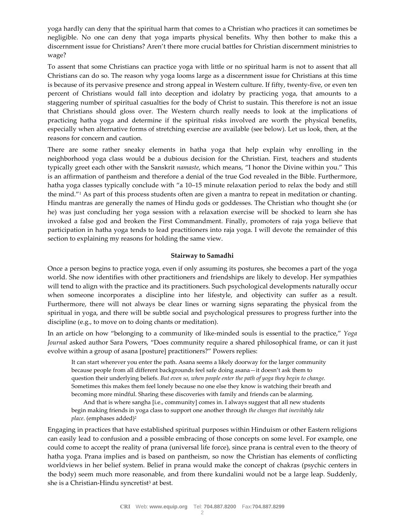yoga hardly can deny that the spiritual harm that comes to a Christian who practices it can sometimes be negligible. No one can deny that yoga imparts physical benefits. Why then bother to make this a discernment issue for Christians? Aren't there more crucial battles for Christian discernment ministries to wage?

To assent that some Christians can practice yoga with little or no spiritual harm is not to assent that all Christians can do so. The reason why yoga looms large as a discernment issue for Christians at this time is because of its pervasive presence and strong appeal in Western culture. If fifty, twenty-five, or even ten percent of Christians would fall into deception and idolatry by practicing yoga, that amounts to a staggering number of spiritual casualties for the body of Christ to sustain. This therefore is not an issue that Christians should gloss over. The Western church really needs to look at the implications of practicing hatha yoga and determine if the spiritual risks involved are worth the physical benefits, especially when alternative forms of stretching exercise are available (see below). Let us look, then, at the reasons for concern and caution.

There are some rather sneaky elements in hatha yoga that help explain why enrolling in the neighborhood yoga class would be a dubious decision for the Christian. First, teachers and students typically greet each other with the Sanskrit *namaste*, which means, "I honor the Divine within you." This is an affirmation of pantheism and therefore a denial of the true God revealed in the Bible. Furthermore, hatha yoga classes typically conclude with "a 10–15 minute relaxation period to relax the body and still the mind."<sup>1</sup> As part of this process students often are given a mantra to repeat in meditation or chanting. Hindu mantras are generally the names of Hindu gods or goddesses. The Christian who thought she (or he) was just concluding her yoga session with a relaxation exercise will be shocked to learn she has invoked a false god and broken the First Commandment. Finally, promoters of raja yoga believe that participation in hatha yoga tends to lead practitioners into raja yoga. I will devote the remainder of this section to explaining my reasons for holding the same view.

# **Stairway to Samadhi**

Once a person begins to practice yoga, even if only assuming its postures, she becomes a part of the yoga world. She now identifies with other practitioners and friendships are likely to develop. Her sympathies will tend to align with the practice and its practitioners. Such psychological developments naturally occur when someone incorporates a discipline into her lifestyle, and objectivity can suffer as a result. Furthermore, there will not always be clear lines or warning signs separating the physical from the spiritual in yoga, and there will be subtle social and psychological pressures to progress further into the discipline (e.g., to move on to doing chants or meditation).

In an article on how "belonging to a community of like-minded souls is essential to the practice," *Yoga Journal* asked author Sara Powers, "Does community require a shared philosophical frame, or can it just evolve within a group of asana [posture] practitioners?" Powers replies:

It can start wherever you enter the path. Asana seems a likely doorway for the larger community because people from all different backgrounds feel safe doing asana—it doesn't ask them to question their underlying beliefs. *But even so, when people enter the path of yoga they begin to change.* Sometimes this makes them feel lonely because no one else they know is watching their breath and becoming more mindful. Sharing these discoveries with family and friends can be alarming.

And that is where sangha [i.e., community] comes in. I always suggest that all new students begin making friends in yoga class to support one another through *the changes that inevitably take place*. (emphases added)<sup>2</sup>

Engaging in practices that have established spiritual purposes within Hinduism or other Eastern religions can easily lead to confusion and a possible embracing of those concepts on some level. For example, one could come to accept the reality of prana (universal life force), since prana is central even to the theory of hatha yoga. Prana implies and is based on pantheism, so now the Christian has elements of conflicting worldviews in her belief system. Belief in prana would make the concept of chakras (psychic centers in the body) seem much more reasonable, and from there kundalini would not be a large leap. Suddenly, she is a Christian-Hindu syncretist<sup>3</sup> at best.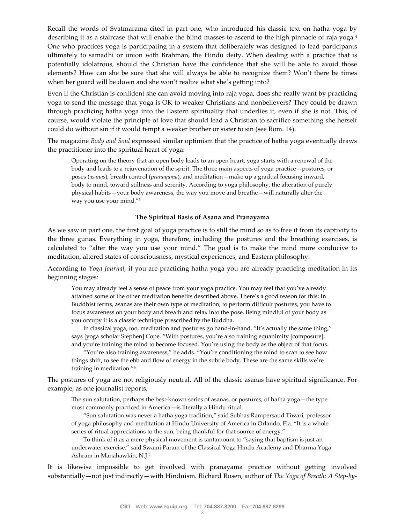Recall the words of Svatmarama cited in part one, who introduced his classic text on hatha yoga by describing it as a staircase that will enable the blind masses to ascend to the high pinnacle of raja yoga.<sup>4</sup> One who practices yoga is participating in a system that deliberately was designed to lead participants ultimately to samadhi or union with Brahman, the Hindu deity. When dealing with a practice that is potentially idolatrous, should the Christian have the confidence that she will be able to avoid those elements? How can she be sure that she will always be able to recognize them? Won't there be times when her guard will be down and she won't realize what she's getting into?

Even if the Christian is confident she can avoid moving into raja yoga, does she really want by practicing yoga to send the message that yoga is OK to weaker Christians and nonbelievers? They could be drawn through practicing hatha yoga into the Eastern spirituality that underlies it, even if she is not. This, of course, would violate the principle of love that should lead a Christian to sacrifice something she herself could do without sin if it would tempt a weaker brother or sister to sin (see Rom. 14).

The magazine *Body and Soul* expressed similar optimism that the practice of hatha yoga eventually draws the practitioner into the spiritual heart of yoga:

Operating on the theory that an open body leads to an open heart, yoga starts with a renewal of the body and leads to a rejuvenation of the spirit. The three main aspects of yoga practice—postures, or poses (*asanas*), breath control (*pranayama*), and meditation—make up a gradual focusing inward, body to mind, toward stillness and serenity. According to yoga philosophy, the alteration of purely physical habits—your body awareness, the way you move and breathe—will naturally alter the way you use your mind."<sup>5</sup>

## **The Spiritual Basis of Asana and Pranayama**

As we saw in part one, the first goal of yoga practice is to still the mind so as to free it from its captivity to the three gunas. Everything in yoga, therefore, including the postures and the breathing exercises, is calculated to "alter the way you use your mind." The goal is to make the mind more conducive to meditation, altered states of consciousness, mystical experiences, and Eastern philosophy.

According to *Yoga Journal*, if you are practicing hatha yoga you are already practicing meditation in its beginning stages:

You may already feel a sense of peace from your yoga practice. You may feel that you've already attained some of the other meditation benefits described above. There's a good reason for this: In Buddhist terms, asanas are their own type of meditation; to perform difficult postures, you have to focus awareness on your body and breath and relax into the pose. Being mindful of your body as you occupy it is a classic technique prescribed by the Buddha.

In classical yoga, too, meditation and postures go hand-in-hand. "It's actually the same thing," says [yoga scholar Stephen] Cope. "With postures, you're also training equanimity [composure], and you're training the mind to become focused. You're using the body as the object of that focus.

"You're also training awareness," he adds. "You're conditioning the mind to scan to see how things shift, to see the ebb and flow of energy in the subtle body. These are the same skills we're training in meditation."<sup>6</sup>

The postures of yoga are not religiously neutral. All of the classic asanas have spiritual significance. For example, as one journalist reports,

The sun salutation, perhaps the best-known series of asanas, or postures, of hatha yoga—the type most commonly practiced in America—is literally a Hindu ritual.

"Sun salutation was never a hatha yoga tradition," said Subhas Rampersaud Tiwari, professor of yoga philosophy and meditation at Hindu University of America in Orlando, Fla. "It is a whole series of ritual appreciations to the sun, being thankful for that source of energy."

To think of it as a mere physical movement is tantamount to "saying that baptism is just an underwater exercise," said Swami Param of the Classical Yoga Hindu Academy and Dharma Yoga Ashram in Manahawkin, N.J.<sup>7</sup>

It is likewise impossible to get involved with pranayama practice without getting involved substantially—not just indirectly—with Hinduism. Richard Rosen, author of *The Yoga of Breath: A Step-by-*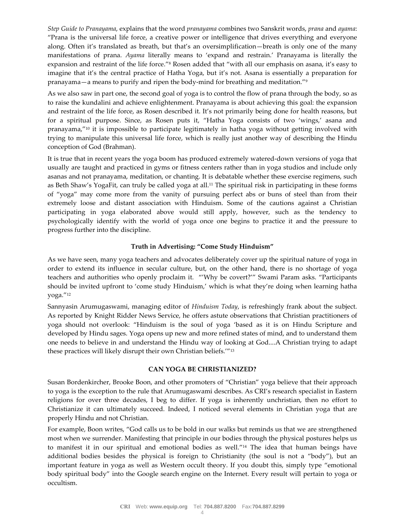*Step Guide to Pranayama*, explains that the word *pranayama* combines two Sanskrit words, *prana* and *ayama*: "Prana is the universal life force, a creative power or intelligence that drives everything and everyone along. Often it's translated as breath, but that's an oversimplification—breath is only one of the many manifestations of prana. *Ayama* literally means to 'expand and restrain.' Pranayama is literally the expansion and restraint of the life force."<sup>8</sup> Rosen added that "with all our emphasis on asana, it's easy to imagine that it's the central practice of Hatha Yoga, but it's not. Asana is essentially a preparation for pranayama—a means to purify and ripen the body-mind for breathing and meditation."<sup>9</sup>

As we also saw in part one, the second goal of yoga is to control the flow of prana through the body, so as to raise the kundalini and achieve enlightenment. Pranayama is about achieving this goal: the expansion and restraint of the life force, as Rosen described it. It's not primarily being done for health reasons, but for a spiritual purpose. Since, as Rosen puts it, "Hatha Yoga consists of two 'wings,' asana and pranayama,"<sup>10</sup> it is impossible to participate legitimately in hatha yoga without getting involved with trying to manipulate this universal life force, which is really just another way of describing the Hindu conception of God (Brahman).

It is true that in recent years the yoga boom has produced extremely watered-down versions of yoga that usually are taught and practiced in gyms or fitness centers rather than in yoga studios and include only asanas and not pranayama, meditation, or chanting. It is debatable whether these exercise regimens, such as Beth Shaw's YogaFit, can truly be called yoga at all.<sup>11</sup> The spiritual risk in participating in these forms of "yoga" may come more from the vanity of pursuing perfect abs or buns of steel than from their extremely loose and distant association with Hinduism. Some of the cautions against a Christian participating in yoga elaborated above would still apply, however, such as the tendency to psychologically identify with the world of yoga once one begins to practice it and the pressure to progress further into the discipline.

# **Truth in Advertising: "Come Study Hinduism"**

As we have seen, many yoga teachers and advocates deliberately cover up the spiritual nature of yoga in order to extend its influence in secular culture, but, on the other hand, there is no shortage of yoga teachers and authorities who openly proclaim it. "'Why be covert?'" Swami Param asks. "Participants should be invited upfront to 'come study Hinduism,' which is what they're doing when learning hatha yoga."<sup>12</sup>

Sannyasin Arumugaswami, managing editor of *Hinduism Today*, is refreshingly frank about the subject. As reported by Knight Ridder News Service, he offers astute observations that Christian practitioners of yoga should not overlook: "Hinduism is the soul of yoga 'based as it is on Hindu Scripture and developed by Hindu sages. Yoga opens up new and more refined states of mind, and to understand them one needs to believe in and understand the Hindu way of looking at God....A Christian trying to adapt these practices will likely disrupt their own Christian beliefs.'"<sup>13</sup>

## **CAN YOGA BE CHRISTIANIZED?**

Susan Bordenkircher, Brooke Boon, and other promoters of "Christian" yoga believe that their approach to yoga is the exception to the rule that Arumugaswami describes. As CRI's research specialist in Eastern religions for over three decades, I beg to differ. If yoga is inherently unchristian, then no effort to Christianize it can ultimately succeed. Indeed, I noticed several elements in Christian yoga that are properly Hindu and not Christian.

For example, Boon writes, "God calls us to be bold in our walks but reminds us that we are strengthened most when we surrender. Manifesting that principle in our bodies through the physical postures helps us to manifest it in our spiritual and emotional bodies as well."<sup>14</sup> The idea that human beings have additional bodies besides the physical is foreign to Christianity (the soul is not a "body"), but an important feature in yoga as well as Western occult theory. If you doubt this, simply type "emotional body spiritual body" into the Google search engine on the Internet. Every result will pertain to yoga or occultism.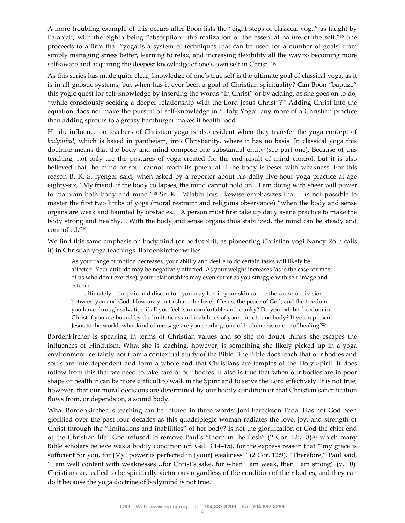A more troubling example of this occurs after Boon lists the "eight steps of classical yoga" as taught by Patanjali, with the eighth being "absorption—the realization of the essential nature of the self."<sup>15</sup> She proceeds to affirm that "yoga is a system of techniques that can be used for a number of goals, from simply managing stress better, learning to relax, and increasing flexibility all the way to becoming more self-aware and acquiring the deepest knowledge of one's own self in Christ."<sup>16</sup>

As this series has made quite clear, knowledge of one's true self is the ultimate goal of classical yoga, as it is in all gnostic systems; but when has it ever been a goal of Christian spirituality? Can Boon "baptize" this yogic quest for self-knowledge by inserting the words "in Christ" or by adding, as she goes on to do, "while consciously seeking a deeper relationship with the Lord Jesus Christ"?<sup>17</sup> Adding Christ into the equation does not make the pursuit of self-knowledge in "Holy Yoga" any more of a Christian practice than adding sprouts to a greasy hamburger makes it health food.

Hindu influence on teachers of Christian yoga is also evident when they transfer the yoga concept of *bodymind*, which is based in pantheism, into Christianity, where it has no basis. In classical yoga this doctrine means that the body and mind compose one substantial entity (see part one). Because of this teaching, not only are the postures of yoga created for the end result of mind control, but it is also believed that the mind or soul cannot reach its potential if the body is beset with weakness. For this reason B. K. S. Iyengar said, when asked by a reporter about his daily five-hour yoga practice at age eighty-six, "My friend, if the body collapses, the mind cannot hold on…I am doing with sheer will power to maintain both body and mind."<sup>18</sup> Sri K. Pattabhi Jois likewise emphasizes that it is not possible to master the first two limbs of yoga (moral restraint and religious observance) "when the body and sense organs are weak and haunted by obstacles.…A person must first take up daily asana practice to make the body strong and healthy….With the body and sense organs thus stabilized, the mind can be steady and controlled."<sup>19</sup>

We find this same emphasis on bodymind (or bodyspirit, as pioneering Christian yogi Nancy Roth calls it) in Christian yoga teachings. Bordenkircher writes:

As your range of motion decreases, your ability and desire to do certain tasks will likely be affected. Your attitude may be negatively affected. As your weight increases (as is the case for most of us who don't exercise), your relationships may even suffer as you struggle with self-image and esteem.

Ultimately…the pain and discomfort you may feel in your skin can be the cause of division between you and God. How are you to share the love of Jesus, the peace of God, and the freedom you have through salvation if all you feel is uncomfortable and cranky? Do you exhibit freedom in Christ if you are bound by the limitations and inabilities of your out-of-tune body? If you represent Jesus to the world, what kind of message are you sending: one of brokenness or one of healing?<sup>20</sup>

Bordenkircher is speaking in terms of Christian values and so she no doubt thinks she escapes the influences of Hinduism. What she is teaching, however, is something she likely picked up in a yoga environment, certainly not from a contextual study of the Bible. The Bible does teach that our bodies and souls are interdependent and form a whole and that Christians are temples of the Holy Spirit. It does follow from this that we need to take care of our bodies. It also is true that when our bodies are in poor shape or health it can be more difficult to walk in the Spirit and to serve the Lord effectively. It is not true, however, that our moral decisions are determined by our bodily condition or that Christian sanctification flows from, or depends on, a sound body.

What Bordenkircher is teaching can be refuted in three words: Joni Eareckson Tada. Has not God been glorified over the past four decades as this quadriplegic woman radiates the love, joy, and strength of Christ through the "limitations and inabilities" of her body? Is not the glorification of God the chief end of the Christian life? God refused to remove Paul's "thorn in the flesh" (2 Cor. 12:7–8),<sup>21</sup> which many Bible scholars believe was a bodily condition (cf. Gal. 3:14–15), for the express reason that "'my grace is sufficient for you, for [My] power is perfected in [your] weakness'" (2 Cor. 12:9). "Therefore," Paul said, "I am well content with weaknesses…for Christ's sake, for when I am weak, then I am strong" (v. 10). Christians are called to be spiritually victorious regardless of the condition of their bodies, and they can do it because the yoga doctrine of bodymind is not true.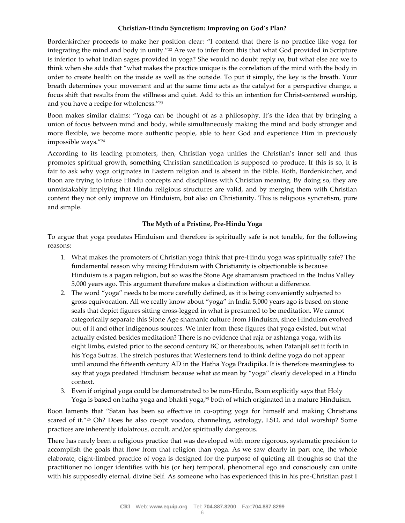## **Christian-Hindu Syncretism: Improving on God's Plan?**

Bordenkircher proceeds to make her position clear: "I contend that there is no practice like yoga for integrating the mind and body in unity."<sup>22</sup> Are we to infer from this that what God provided in Scripture is inferior to what Indian sages provided in yoga? She would no doubt reply *no*, but what else are we to think when she adds that "what makes the practice unique is the correlation of the mind with the body in order to create health on the inside as well as the outside. To put it simply, the key is the breath. Your breath determines your movement and at the same time acts as the catalyst for a perspective change, a focus shift that results from the stillness and quiet. Add to this an intention for Christ-centered worship, and you have a recipe for wholeness."<sup>23</sup>

Boon makes similar claims: "Yoga can be thought of as a philosophy. It's the idea that by bringing a union of focus between mind and body, while simultaneously making the mind and body stronger and more flexible, we become more authentic people, able to hear God and experience Him in previously impossible ways."<sup>24</sup>

According to its leading promoters, then, Christian yoga unifies the Christian's inner self and thus promotes spiritual growth, something Christian sanctification is supposed to produce. If this is so, it is fair to ask why yoga originates in Eastern religion and is absent in the Bible. Roth, Bordenkircher, and Boon are trying to infuse Hindu concepts and disciplines with Christian meaning. By doing so, they are unmistakably implying that Hindu religious structures are valid, and by merging them with Christian content they not only improve on Hinduism, but also on Christianity. This is religious syncretism, pure and simple.

# **The Myth of a Pristine, Pre-Hindu Yoga**

To argue that yoga predates Hinduism and therefore is spiritually safe is not tenable, for the following reasons:

- 1. What makes the promoters of Christian yoga think that pre-Hindu yoga was spiritually safe? The fundamental reason why mixing Hinduism with Christianity is objectionable is because Hinduism is a pagan religion, but so was the Stone Age shamanism practiced in the Indus Valley 5,000 years ago. This argument therefore makes a distinction without a difference.
- 2. The word "yoga" needs to be more carefully defined, as it is being conveniently subjected to gross equivocation. All we really know about "yoga" in India 5,000 years ago is based on stone seals that depict figures sitting cross-legged in what is presumed to be meditation. We cannot categorically separate this Stone Age shamanic culture from Hinduism, since Hinduism evolved out of it and other indigenous sources. We infer from these figures that yoga existed, but what actually existed besides meditation? There is no evidence that raja or ashtanga yoga, with its eight limbs, existed prior to the second century BC or thereabouts, when Patanjali set it forth in his Yoga Sutras. The stretch postures that Westerners tend to think define yoga do not appear until around the fifteenth century AD in the Hatha Yoga Pradipika. It is therefore meaningless to say that yoga predated Hinduism because what *we* mean by "yoga" clearly developed in a Hindu context.
- 3. Even if original yoga could be demonstrated to be non-Hindu, Boon explicitly says that Holy Yoga is based on hatha yoga and bhakti yoga,<sup>25</sup> both of which originated in a mature Hinduism.

Boon laments that "Satan has been so effective in co-opting yoga for himself and making Christians scared of it."<sup>26</sup> Oh? Does he also co-opt voodoo, channeling, astrology, LSD, and idol worship? Some practices are inherently idolatrous, occult, and/or spiritually dangerous.

There has rarely been a religious practice that was developed with more rigorous, systematic precision to accomplish the goals that flow from that religion than yoga. As we saw clearly in part one, the whole elaborate, eight-limbed practice of yoga is designed for the purpose of quieting all thoughts so that the practitioner no longer identifies with his (or her) temporal, phenomenal ego and consciously can unite with his supposedly eternal, divine Self. As someone who has experienced this in his pre-Christian past I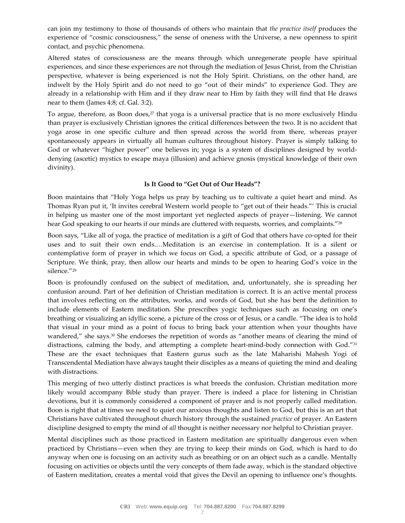can join my testimony to those of thousands of others who maintain that *the practice itself* produces the experience of "cosmic consciousness," the sense of oneness with the Universe, a new openness to spirit contact, and psychic phenomena.

Altered states of consciousness are the means through which unregenerate people have spiritual experiences, and since these experiences are not through the mediation of Jesus Christ, from the Christian perspective, whatever is being experienced is not the Holy Spirit. Christians, on the other hand, are indwelt by the Holy Spirit and do not need to go "out of their minds" to experience God. They are already in a relationship with Him and if they draw near to Him by faith they will find that He draws near to them (James 4:8; cf. Gal. 3:2).

To argue, therefore, as Boon does,<sup>27</sup> that yoga is a universal practice that is no more exclusively Hindu than prayer is exclusively Christian ignores the critical differences between the two. It is no accident that yoga arose in one specific culture and then spread across the world from there, whereas prayer spontaneously appears in virtually all human cultures throughout history. Prayer is simply talking to God or whatever "higher power" one believes in; yoga is a system of disciplines designed by worlddenying (ascetic) mystics to escape maya (illusion) and achieve gnosis (mystical knowledge of their own divinity).

## **Is It Good to "Get Out of Our Heads"?**

Boon maintains that "Holy Yoga helps us pray by teaching us to cultivate a quiet heart and mind. As Thomas Ryan put it, 'It invites cerebral Western world people to "get out of their heads."' This is crucial in helping us master one of the most important yet neglected aspects of prayer—listening. We cannot hear God speaking to our hearts if our minds are cluttered with requests, worries, and complaints."<sup>28</sup>

Boon says, "Like all of yoga, the practice of meditation is a gift of God that others have co-opted for their uses and to suit their own ends.…Meditation is an exercise in contemplation. It is a silent or contemplative form of prayer in which we focus on God, a specific attribute of God, or a passage of Scripture. We think, pray, then allow our hearts and minds to be open to hearing God's voice in the silence."<sup>29</sup>

Boon is profoundly confused on the subject of meditation, and, unfortunately, she is spreading her confusion around. Part of her definition of Christian meditation is correct. It is an active mental process that involves reflecting on the attributes, works, and words of God, but she has bent the definition to include elements of Eastern meditation. She prescribes yogic techniques such as focusing on one's breathing or visualizing an idyllic scene, a picture of the cross or of Jesus, or a candle. "The idea is to hold that visual in your mind as a point of focus to bring back your attention when your thoughts have wandered," she says.<sup>30</sup> She endorses the repetition of words as "another means of clearing the mind of distractions, calming the body, and attempting a complete heart-mind-body connection with God."<sup>31</sup> These are the exact techniques that Eastern gurus such as the late Maharishi Mahesh Yogi of Transcendental Mediation have always taught their disciples as a means of quieting the mind and dealing with distractions.

This merging of two utterly distinct practices is what breeds the confusion. Christian meditation more likely would accompany Bible study than prayer. There is indeed a place for listening in Christian devotions, but it is commonly considered a component of prayer and is not properly called meditation. Boon is right that at times we need to quiet our anxious thoughts and listen to God, but this is an art that Christians have cultivated throughout church history through the sustained *practice* of prayer. An Eastern discipline designed to empty the mind of *all* thought is neither necessary nor helpful to Christian prayer.

Mental disciplines such as those practiced in Eastern meditation are spiritually dangerous even when practiced by Christians—even when they are trying to keep their minds on God, which is hard to do anyway when one is focusing on an activity such as breathing or on an object such as a candle. Mentally focusing on activities or objects until the very concepts of them fade away, which is the standard objective of Eastern meditation, creates a mental void that gives the Devil an opening to influence one's thoughts.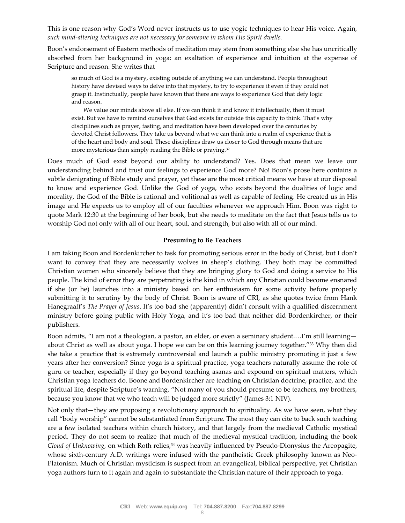This is one reason why God's Word never instructs us to use yogic techniques to hear His voice. Again, *such mind-altering techniques are not necessary for someone in whom His Spirit dwells.*

Boon's endorsement of Eastern methods of meditation may stem from something else she has uncritically absorbed from her background in yoga: an exaltation of experience and intuition at the expense of Scripture and reason. She writes that

so much of God is a mystery, existing outside of anything we can understand. People throughout history have devised ways to delve into that mystery, to try to experience it even if they could not grasp it. Instinctually, people have known that there are ways to experience God that defy logic and reason.

We value our minds above all else. If we can think it and know it intellectually, then it must exist. But we have to remind ourselves that God exists far outside this capacity to think. That's why disciplines such as prayer, fasting, and meditation have been developed over the centuries by devoted Christ followers. They take us beyond what we can think into a realm of experience that is of the heart and body and soul. These disciplines draw us closer to God through means that are more mysterious than simply reading the Bible or praying.<sup>32</sup>

Does much of God exist beyond our ability to understand? Yes. Does that mean we leave our understanding behind and trust our feelings to experience God more? No! Boon's prose here contains a subtle denigrating of Bible study and prayer, yet these are the most critical means we have at our disposal to know and experience God. Unlike the God of yoga, who exists beyond the dualities of logic and morality, the God of the Bible is rational and volitional as well as capable of feeling. He created us in His image and He expects us to employ all of our faculties whenever we approach Him. Boon was right to quote Mark 12:30 at the beginning of her book, but she needs to meditate on the fact that Jesus tells us to worship God not only with all of our heart, soul, and strength, but also with all of our mind.

#### **Presuming to Be Teachers**

I am taking Boon and Bordenkircher to task for promoting serious error in the body of Christ, but I don't want to convey that they are necessarily wolves in sheep's clothing. They both may be committed Christian women who sincerely believe that they are bringing glory to God and doing a service to His people. The kind of error they are perpetrating is the kind in which any Christian could become ensnared if she (or he) launches into a ministry based on her enthusiasm for some activity before properly submitting it to scrutiny by the body of Christ. Boon is aware of CRI, as she quotes twice from Hank Hanegraaff's *The Prayer of Jesus*. It's too bad she (apparently) didn't consult with a qualified discernment ministry before going public with Holy Yoga, and it's too bad that neither did Bordenkircher, or their publishers.

Boon admits, "I am not a theologian, a pastor, an elder, or even a seminary student.…I'm still learning about Christ as well as about yoga. I hope we can be on this learning journey together."<sup>33</sup> Why then did she take a practice that is extremely controversial and launch a public ministry promoting it just a few years after her conversion? Since yoga is a spiritual practice, yoga teachers naturally assume the role of guru or teacher, especially if they go beyond teaching asanas and expound on spiritual matters, which Christian yoga teachers do. Boone and Bordenkircher are teaching on Christian doctrine, practice, and the spiritual life, despite Scripture's warning, "Not many of you should presume to be teachers, my brothers, because you know that we who teach will be judged more strictly" (James 3:1 NIV).

Not only that—they are proposing a revolutionary approach to spirituality. As we have seen, what they call "body worship" cannot be substantiated from Scripture. The most they can cite to back such teaching are a few isolated teachers within church history, and that largely from the medieval Catholic mystical period. They do not seem to realize that much of the medieval mystical tradition, including the book *Cloud of Unknowing*, on which Roth relies,<sup>34</sup> was heavily influenced by Pseudo-Dionysius the Areopagite, whose sixth-century A.D. writings were infused with the pantheistic Greek philosophy known as Neo-Platonism. Much of Christian mysticism is suspect from an evangelical, biblical perspective, yet Christian yoga authors turn to it again and again to substantiate the Christian nature of their approach to yoga.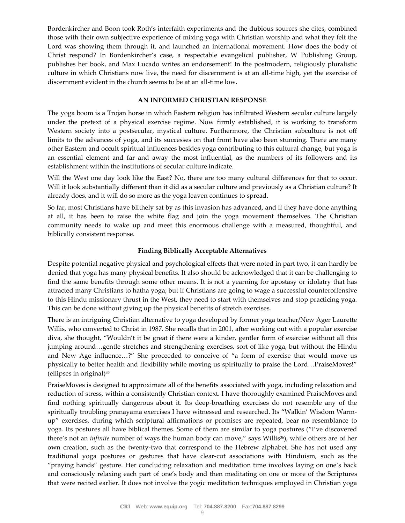Bordenkircher and Boon took Roth's interfaith experiments and the dubious sources she cites, combined those with their own subjective experience of mixing yoga with Christian worship and what they felt the Lord was showing them through it, and launched an international movement. How does the body of Christ respond? In Bordenkircher's case, a respectable evangelical publisher, W Publishing Group, publishes her book, and Max Lucado writes an endorsement! In the postmodern, religiously pluralistic culture in which Christians now live, the need for discernment is at an all-time high, yet the exercise of discernment evident in the church seems to be at an all-time low.

## **AN INFORMED CHRISTIAN RESPONSE**

The yoga boom is a Trojan horse in which Eastern religion has infiltrated Western secular culture largely under the pretext of a physical exercise regime. Now firmly established, it is working to transform Western society into a postsecular, mystical culture. Furthermore, the Christian subculture is not off limits to the advances of yoga, and its successes on that front have also been stunning. There are many other Eastern and occult spiritual influences besides yoga contributing to this cultural change, but yoga is an essential element and far and away the most influential, as the numbers of its followers and its establishment within the institutions of secular culture indicate.

Will the West one day look like the East? No, there are too many cultural differences for that to occur. Will it look substantially different than it did as a secular culture and previously as a Christian culture? It already does, and it will do so more as the yoga leaven continues to spread.

So far, most Christians have blithely sat by as this invasion has advanced, and if they have done anything at all, it has been to raise the white flag and join the yoga movement themselves. The Christian community needs to wake up and meet this enormous challenge with a measured, thoughtful, and biblically consistent response.

# **Finding Biblically Acceptable Alternatives**

Despite potential negative physical and psychological effects that were noted in part two, it can hardly be denied that yoga has many physical benefits. It also should be acknowledged that it can be challenging to find the same benefits through some other means. It is not a yearning for apostasy or idolatry that has attracted many Christians to hatha yoga; but if Christians are going to wage a successful counteroffensive to this Hindu missionary thrust in the West, they need to start with themselves and stop practicing yoga. This can be done without giving up the physical benefits of stretch exercises.

There is an intriguing Christian alternative to yoga developed by former yoga teacher/New Ager Laurette Willis, who converted to Christ in 1987. She recalls that in 2001, after working out with a popular exercise diva, she thought, "Wouldn't it be great if there were a kinder, gentler form of exercise without all this jumping around…gentle stretches and strengthening exercises, sort of like yoga, but without the Hindu and New Age influence…?" She proceeded to conceive of "a form of exercise that would move us physically to better health and flexibility while moving us spiritually to praise the Lord…PraiseMoves!" (ellipses in original)<sup>35</sup>

PraiseMoves is designed to approximate all of the benefits associated with yoga, including relaxation and reduction of stress, within a consistently Christian context. I have thoroughly examined PraiseMoves and find nothing spiritually dangerous about it. Its deep-breathing exercises do not resemble any of the spiritually troubling pranayama exercises I have witnessed and researched. Its "Walkin' Wisdom Warmup" exercises, during which scriptural affirmations or promises are repeated, bear no resemblance to yoga. Its postures all have biblical themes. Some of them are similar to yoga postures ("I've discovered there's not an *infinite* number of ways the human body can move," says Willis<sup>36</sup>), while others are of her own creation, such as the twenty-two that correspond to the Hebrew alphabet. She has not used any traditional yoga postures or gestures that have clear-cut associations with Hinduism, such as the "praying hands" gesture. Her concluding relaxation and meditation time involves laying on one's back and consciously relaxing each part of one's body and then meditating on one or more of the Scriptures that were recited earlier. It does not involve the yogic meditation techniques employed in Christian yoga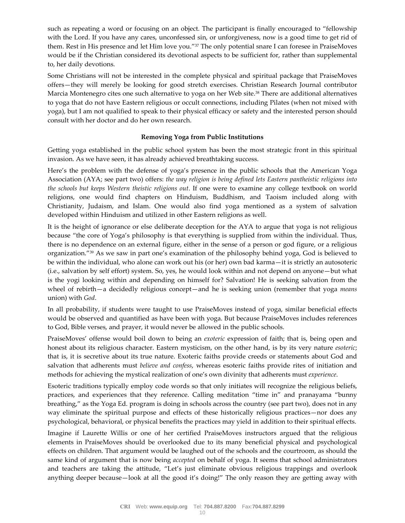such as repeating a word or focusing on an object. The participant is finally encouraged to "fellowship with the Lord. If you have any cares, unconfessed sin, or unforgiveness, now is a good time to get rid of them. Rest in His presence and let Him love you."<sup>37</sup> The only potential snare I can foresee in PraiseMoves would be if the Christian considered its devotional aspects to be sufficient for, rather than supplemental to, her daily devotions.

Some Christians will not be interested in the complete physical and spiritual package that PraiseMoves offers—they will merely be looking for good stretch exercises. Christian Research Journal contributor Marcia Montenegro cites one such alternative to yoga on her Web site.<sup>38</sup> There are additional alternatives to yoga that do not have Eastern religious or occult connections, including Pilates (when not mixed with yoga), but I am not qualified to speak to their physical efficacy or safety and the interested person should consult with her doctor and do her own research.

# **Removing Yoga from Public Institutions**

Getting yoga established in the public school system has been the most strategic front in this spiritual invasion. As we have seen, it has already achieved breathtaking success.

Here's the problem with the defense of yoga's presence in the public schools that the American Yoga Association (AYA; see part two) offers: *the way religion is being defined lets Eastern pantheistic religions into the schools but keeps Western theistic religions out*. If one were to examine any college textbook on world religions, one would find chapters on Hinduism, Buddhism, and Taoism included along with Christianity, Judaism, and Islam. One would also find yoga mentioned as a system of salvation developed within Hinduism and utilized in other Eastern religions as well.

It is the height of ignorance or else deliberate deception for the AYA to argue that yoga is not religious because "the core of Yoga's philosophy is that everything is supplied from within the individual. Thus, there is no dependence on an external figure, either in the sense of a person or god figure, or a religious organization."<sup>39</sup> As we saw in part one's examination of the philosophy behind yoga, God is believed to be within the individual, who alone can work out his (or her) own bad karma—it is strictly an autosoteric (i.e., salvation by self effort) system. So, yes, he would look within and not depend on anyone—but what is the yogi looking within and depending on himself for? Salvation! He is seeking salvation from the wheel of rebirth—a decidedly religious concept—and he is seeking union (remember that yoga *means* union) with *God*.

In all probability, if students were taught to use PraiseMoves instead of yoga, similar beneficial effects would be observed and quantified as have been with yoga. But because PraiseMoves includes references to God, Bible verses, and prayer, it would never be allowed in the public schools.

PraiseMoves' offense would boil down to being an *exoteric* expression of faith; that is, being open and honest about its religious character. Eastern mysticism, on the other hand, is by its very nature *esoteric*; that is, it is secretive about its true nature. Exoteric faiths provide creeds or statements about God and salvation that adherents must *believe and confess*, whereas esoteric faiths provide rites of initiation and methods for achieving the mystical realization of one's own divinity that adherents must *experience*.

Esoteric traditions typically employ code words so that only initiates will recognize the religious beliefs, practices, and experiences that they reference. Calling meditation "time in" and pranayama "bunny breathing," as the Yoga Ed. program is doing in schools across the country (see part two), does not in any way eliminate the spiritual purpose and effects of these historically religious practices—nor does any psychological, behavioral, or physical benefits the practices may yield in addition to their spiritual effects.

Imagine if Laurette Willis or one of her certified PraiseMoves instructors argued that the religious elements in PraiseMoves should be overlooked due to its many beneficial physical and psychological effects on children. That argument would be laughed out of the schools and the courtroom, as should the same kind of argument that is now being *accepted* on behalf of yoga. It seems that school administrators and teachers are taking the attitude, "Let's just eliminate obvious religious trappings and overlook anything deeper because—look at all the good it's doing!" The only reason they are getting away with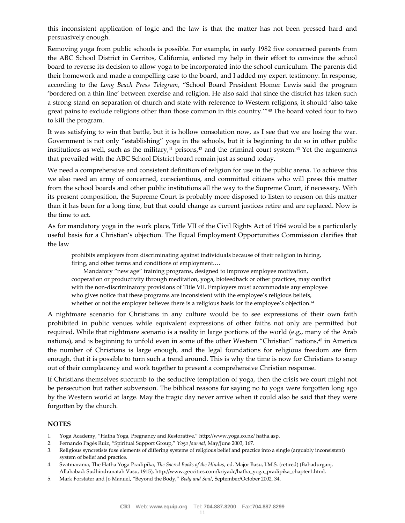this inconsistent application of logic and the law is that the matter has not been pressed hard and persuasively enough.

Removing yoga from public schools is possible. For example, in early 1982 five concerned parents from the ABC School District in Cerritos, California, enlisted my help in their effort to convince the school board to reverse its decision to allow yoga to be incorporated into the school curriculum. The parents did their homework and made a compelling case to the board, and I added my expert testimony. In response, according to the *Long Beach Press Telegram*, "School Board President Homer Lewis said the program 'bordered on a thin line' between exercise and religion. He also said that since the district has taken such a strong stand on separation of church and state with reference to Western religions, it should 'also take great pains to exclude religions other than those common in this country.'"<sup>40</sup> The board voted four to two to kill the program.

It was satisfying to win that battle, but it is hollow consolation now, as I see that we are losing the war. Government is not only "establishing" yoga in the schools, but it is beginning to do so in other public institutions as well, such as the military, $41$  prisons, $42$  and the criminal court system. $43$  Yet the arguments that prevailed with the ABC School District board remain just as sound today.

We need a comprehensive and consistent definition of religion for use in the public arena. To achieve this we also need an army of concerned, conscientious, and committed citizens who will press this matter from the school boards and other public institutions all the way to the Supreme Court, if necessary. With its present composition, the Supreme Court is probably more disposed to listen to reason on this matter than it has been for a long time, but that could change as current justices retire and are replaced. Now is the time to act.

As for mandatory yoga in the work place, Title VII of the Civil Rights Act of 1964 would be a particularly useful basis for a Christian's objection. The Equal Employment Opportunities Commission clarifies that the law

prohibits employers from discriminating against individuals because of their religion in hiring, firing, and other terms and conditions of employment.…

Mandatory "new age" training programs, designed to improve employee motivation, cooperation or productivity through meditation, yoga, biofeedback or other practices, may conflict with the non-discriminatory provisions of Title VII. Employers must accommodate any employee who gives notice that these programs are inconsistent with the employee's religious beliefs, whether or not the employer believes there is a religious basis for the employee's objection.<sup>44</sup>

A nightmare scenario for Christians in any culture would be to see expressions of their own faith prohibited in public venues while equivalent expressions of other faiths not only are permitted but required. While that nightmare scenario is a reality in large portions of the world (e.g., many of the Arab nations), and is beginning to unfold even in some of the other Western "Christian" nations,<sup>45</sup> in America the number of Christians is large enough, and the legal foundations for religious freedom are firm enough, that it is possible to turn such a trend around. This is why the time is now for Christians to snap out of their complacency and work together to present a comprehensive Christian response.

If Christians themselves succumb to the seductive temptation of yoga, then the crisis we court might not be persecution but rather subversion. The biblical reasons for saying no to yoga were forgotten long ago by the Western world at large. May the tragic day never arrive when it could also be said that they were forgotten by the church.

#### **NOTES**

- 1. Yoga Academy, "Hatha Yoga, Pregnancy and Restorative," http://www.yoga.co.nz/ hatha.asp.
- 2. Fernando Pagés Ruiz, "Spiritual Support Group," *Yoga Journal*, May/June 2003, 167.
- 3. Religious syncretists fuse elements of differing systems of religious belief and practice into a single (arguably inconsistent) system of belief and practice.
- 4. Svatmarama, The Hatha Yoga Pradipika, *The Sacred Books of the Hindus*, ed. Major Basu, I.M.S. (retired) (Bahadurganj, Allahabad: Sudhindranatah Vasu, 1915), http://www.geocities.com/kriyadc/hatha\_yoga\_pradipika\_chapter1.html.
- 5. Mark Forstater and Jo Manuel, "Beyond the Body," *Body and Soul*, September/October 2002, 34.